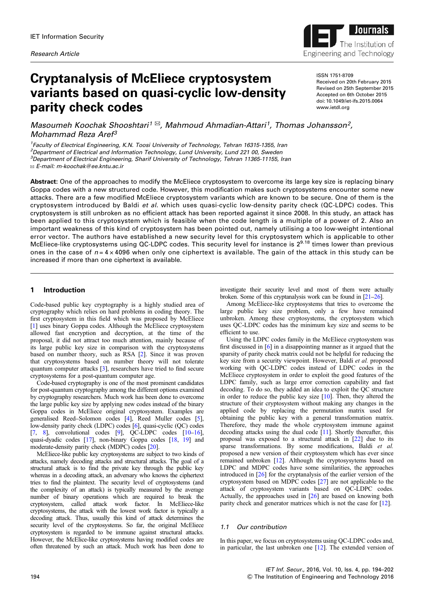

# Cryptanalysis of McEliece cryptosystem variants based on quasi-cyclic low-density parity check codes

ISSN 1751-8709 Received on 20th February 2015 Revised on 25th September 2015 Accepted on 6th October 2015 doi: 10.1049/iet-ifs.2015.0064 www.ietdl.org

Masoumeh Koochak Shooshtari<sup>[1](mailto:)  $\boxtimes$ </sup>, Mahmoud Ahmadian-Attari<sup>1</sup>, Thomas Johansson<sup>2</sup>, [Mohammad Reza Aref3](mailto:)

<sup>1</sup>Faculty of Electrical Engineering, K.N. Toosi University of Technology, Tehran 16315-1355, Iran <sup>2</sup>Department of Electrical and Information Technology, Lund University, Lund 221 00, Sweden <sup>3</sup>Department of Electrical Engineering, Sharif University of Technology, Tehran 11365-11155, Iran ✉ E-mail: [m-koochak@ee.kntu.ac.ir](mailto:)

Abstract: One of the approaches to modify the McEliece cryptosystem to overcome its large key size is replacing binary Goppa codes with a new structured code. However, this modification makes such cryptosystems encounter some new attacks. There are a few modified McEliece cryptosystem variants which are known to be secure. One of them is the cryptosystem introduced by Baldi et al. which uses quasi-cyclic low-density parity check (QC-LDPC) codes. This cryptosystem is still unbroken as no efficient attack has been reported against it since 2008. In this study, an attack has been applied to this cryptosystem which is feasible when the code length is a multiple of a power of 2. Also an important weakness of this kind of cryptosystem has been pointed out, namely utilising a too low-weight intentional error vector. The authors have established a new security level for this cryptosystem which is applicable to other McEliece-like cryptosystems using QC-LDPC codes. This security level for instance is 2<sup>9.18</sup> times lower than previous ones in the case of  $n = 4 \times 4096$  when only one ciphertext is available. The gain of the attack in this study can be increased if more than one ciphertext is available.

# 1 Introduction

Code-based public key cryptography is a highly studied area of cryptography which relies on hard problems in coding theory. The first cryptosystem in this field which was proposed by McEliece [\[1\]](#page-7-0) uses binary Goppa codes. Although the McEliece cryptosystem allowed fast encryption and decryption, at the time of the proposal, it did not attract too much attention, mainly because of its large public key size in comparison with the cryptosystems based on number theory, such as RSA [\[2\]](#page-7-0). Since it was proven that cryptosystems based on number theory will not tolerate quantum computer attacks [\[3\]](#page-7-0), researchers have tried to find secure cryptosystems for a post-quantum computer age.

Code-based cryptography is one of the most prominent candidates for post-quantum cryptography among the different options examined by cryptography researchers. Much work has been done to overcome the large public key size by applying new codes instead of the binary Goppa codes in McEliece original cryptosystem. Examples are generalised Reed–Solomon codes [[4](#page-7-0)], Reed Muller codes [[5](#page-7-0)], low-density parity check (LDPC) codes [[6](#page-7-0)], quasi-cyclic (QC) codes [\[7,](#page-7-0) [8\]](#page-7-0), convolutional codes  $[9]$  $[9]$  $[9]$ , QC-LDPC codes  $[10-16]$  $[10-16]$  $[10-16]$  $[10-16]$ , quasi-dyadic codes [\[17](#page-7-0)], non-binary Goppa codes [\[18,](#page-7-0) [19](#page-7-0)] and moderate-density parity check (MDPC) codes [\[20](#page-7-0)].

McEliece-like public key cryptosystems are subject to two kinds of attacks, namely decoding attacks and structural attacks. The goal of a structural attack is to find the private key through the public key whereas in a decoding attack, an adversary who knows the ciphertext tries to find the plaintext. The security level of cryptosystems (and the complexity of an attack) is typically measured by the average number of binary operations which are required to break the cryptosystem, called attack work factor. In McEliece-like cryptosystems, the attack with the lowest work factor is typically a decoding attack. Thus, usually this kind of attack determines the security level of the cryptosystems. So far, the original McEliece cryptosystem is regarded to be immune against structural attacks. However, the McElice-like cryptosystems having modified codes are often threatened by such an attack. Much work has been done to

investigate their security level and most of them were actually broken. Some of this cryptanalysis work can be found in [[21](#page-7-0)–[26](#page-8-0)].

Among McEliece-like cryptosystems that tries to overcome the large public key size problem, only a few have remained unbroken. Among these cryptosystems, the cryptosystem which uses QC-LDPC codes has the minimum key size and seems to be efficient to use.

Using the LDPC codes family in the McEliece cryptosystem was first discussed in [[6](#page-7-0)] in a disappointing manner as it argued that the sparsity of parity check matrix could not be helpful for reducing the key size from a security viewpoint. However, Baldi et al. proposed working with QC-LDPC codes instead of LDPC codes in the McEliece cryptosystem in order to exploit the good features of the LDPC family, such as large error correction capability and fast decoding. To do so, they added an idea to exploit the QC structure in order to reduce the public key size  $[10]$  $[10]$ . Then, they altered the structure of their cryptosystem without making any changes in the applied code by replacing the permutation matrix used for obtaining the public key with a general transformation matrix. Therefore, they made the whole cryptosystem immune against decoding attacks using the dual code [[11\]](#page-7-0). Shortly thereafter, this proposal was exposed to a structural attack in [[22\]](#page-7-0) due to its sparse transformations. By some modifications, Baldi et al. proposed a new version of their cryptosystem which has ever since remained unbroken [\[12](#page-7-0)]. Although the cryptosysytems based on LDPC and MDPC codes have some similarities, the approaches introduced in [\[26](#page-8-0)] for the cryptanalysis of the earlier version of the cryptosystem based on MDPC codes [\[27](#page-8-0)] are not applicable to the attack of cryptosystem variants based on QC-LDPC codes. Actually, the approaches used in [\[26](#page-8-0)] are based on knowing both parity check and generator matrices which is not the case for [[12\]](#page-7-0).

# 1.1 Our contribution

In this paper, we focus on cryptosystems using QC-LDPC codes and, in particular, the last unbroken one [\[12](#page-7-0)]. The extended version of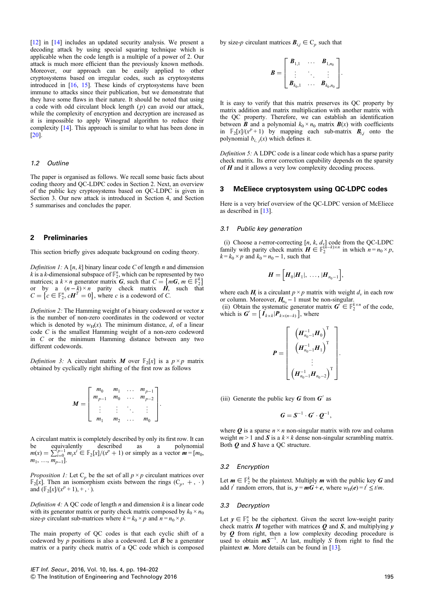[\[12](#page-7-0)] in [\[14](#page-7-0)] includes an updated security analysis. We present a decoding attack by using special squaring technique which is applicable when the code length is a multiple of a power of 2. Our attack is much more efficient than the previously known methods. Moreover, our approach can be easily applied to other cryptosystems based on irregular codes, such as cryptosystems introduced in [[16,](#page-7-0) [15](#page-7-0)]. These kinds of cryptosystems have been immune to attacks since their publication, but we demonstrate that they have some flaws in their nature. It should be noted that using a code with odd circulant block length  $(p)$  can avoid our attack, while the complexity of encryption and decryption are increased as it is impossible to apply Winograd algorithm to reduce their complexity [\[14](#page-7-0)]. This approach is similar to what has been done in [\[20](#page-7-0)].

#### 1.2 Outline

The paper is organised as follows. We recall some basic facts about coding theory and QC-LDPC codes in Section 2. Next, an overview of the public key cryptosystems based on QC-LDPC is given in Section 3. Our new attack is introduced in Section 4, and Section 5 summarises and concludes the paper.

# 2 Preliminaries

This section briefly gives adequate background on coding theory.

Definition 1: A [n, k] binary linear code C of length n and dimension k is a k-dimensional subspace of  $\mathbb{F}_2^n$ , which can be represented by two matrices; a  $k \times n$  generator matrix G, such that  $C = \{mG, m \in \mathbb{F}_2^k\}$ <br>or by a  $(n-k) \times n$  parity check matrix H such that or by a  $(n-k) \times n$  parity check matrix  $\vec{H}$ , such that  $C = \{c \in \mathbb{F}_2^n, cH^T = 0\}$ , where c is a codeword of C.

Definition 2: The Hamming weight of a binary codeword or vector  $x$ is the number of non-zero coordinates in the codeword or vector which is denoted by  $w_H(x)$ . The minimum distance, d, of a linear code C is the smallest Hamming weight of a non-zero codeword in  $C$  or the minimum Hamming distance between any two different codewords.

Definition 3: A circulant matrix M over  $\mathbb{F}_2[x]$  is a  $p \times p$  matrix obtained by cyclically right shifting of the first row as follows

$$
M = \begin{bmatrix} m_0 & m_1 & \dots & m_{p-1} \\ m_{p-1} & m_0 & \dots & m_{p-2} \\ \vdots & \vdots & \ddots & \vdots \\ m_1 & m_2 & \dots & m_0 \end{bmatrix}.
$$

A circulant matrix is completely described by only its first row. It can be equivalently described as a polynomial  $m(x) = \sum_{\substack{m=0 \ m \text{ odd}}}^{p-1} m_i x^i \in \mathbb{F}_2[x]/(x^p + 1)$  or simply as a vector  $m = [m_0, m_1]$  $m_1, \ldots, m_{p-1}$ ].

*Proposition 1:* Let  $C_p$  be the set of all  $p \times p$  circulant matrices over  $\mathbb{F}_2[x]$ . Then an isomorphism exists between the rings  $(C_p, +, \cdot)$ and  $(\mathbb{F}_2[x]/(x^p + 1), +, \cdot)$ .

Definition 4: A QC code of length  $n$  and dimension  $k$  is a linear code with its generator matrix or parity check matrix composed by  $k_0 \times n_0$ size-p circulant sub-matrices where  $k = k_0 \times p$  and  $n = n_0 \times p$ .

The main property of QC codes is that each cyclic shift of a codeword by  $p$  positions is also a codeword. Let  $\bm{B}$  be a generator matrix or a parity check matrix of a QC code which is composed by size-p circulant matrices  $B_{i,j} \in C_p$  such that

$$
B = \begin{bmatrix} B_{1,1} & \dots & B_{1,n_0} \\ \vdots & \ddots & \vdots \\ B_{k_0,1} & \dots & B_{k_0,n_0} \end{bmatrix}.
$$

It is easy to verify that this matrix preserves its QC property by matrix addition and matrix multiplication with another matrix with the QC property. Therefore, we can establish an identification between **B** and a polynomial  $k_0 \times n_0$  matrix **B**(x) with coefficients in  $\mathbb{F}_2[x]/(x^p + 1)$  by mapping each sub-matrix  $\mathbf{B}_{ij}$  onto the polynomial  $b_{i, j}(x)$  which defines it.

Definition 5: A LDPC code is a linear code which has a sparse parity check matrix. Its error correction capability depends on the sparsity of  $H$  and it allows a very low complexity decoding process.

#### 3 McEliece cryptosystem using QC-LDPC codes

Here is a very brief overview of the QC-LDPC version of McEliece as described in [[13\]](#page-7-0).

## 3.1 Public key generation

(i) Choose a *t*-error-correcting  $[n, k, d_v]$  code from the QC-LDPC family with parity check matrix  $H \in \mathbb{F}_2^{(n-k)\times n}$  in which  $n = n_0 \times p$ ,  $k = k_0 \times n$  and  $k_0 = n_0 - 1$  such that  $k = k_0 \times p$  and  $k_0 = n_0 - 1$ , such that

$$
H = \Big[ H_0 | H_1 |, \ldots, | H_{n_0-1} \Big],
$$

where each  $H_i$  is a circulant  $p \times p$  matrix with weight  $d_v$  in each row or column. Moreover,  $H_{n_0}$  – 1 must be non-singular.

(ii) Obtain the systematic generator matrix  $\mathbf{G} \in \mathbb{F}_2^{k \times n}$  of the code, which is  $\boldsymbol{G}' = [\boldsymbol{I}_{k \times k} | \boldsymbol{P}_{k \times (n-k)}],$  where

$$
\boldsymbol{P} = \begin{bmatrix} \left( \boldsymbol{H}_{n_0-1}^{-1} \boldsymbol{H}_0 \right)^{\mathrm{T}} \\ \left( \boldsymbol{H}_{n_0-1}^{-1} \boldsymbol{H}_1 \right)^{\mathrm{T}} \\ \vdots \\ \left( \boldsymbol{H}_{n_0-1}^{-1} \boldsymbol{H}_{n_0-2} \right)^{\mathrm{T}} \end{bmatrix}.
$$

(iii) Generate the public key  $G$  from  $G'$  as

$$
G=S^{-1}\cdot G'\cdot Q^{-1},
$$

where  $Q$  is a sparse  $n \times n$  non-singular matrix with row and column weight  $m > 1$  and  $S$  is a  $k \times k$  dense non-singular scrambling matrix. Both  $Q$  and  $S$  have a QC structure.

#### 3.2 Encryption

Let  $m \in \mathbb{F}_2^k$  be the plaintext. Multiply m with the public key G and add f random errors that is  $v = mG + e$  where  $w_n(e) = f \leq t/m$ add t' random errors, that is,  $y = mG + e$ , where  $w_H(e) = t' \leq t/m$ .

#### 3.3 Decryption

Let  $y \in \mathbb{F}_2^n$  be the ciphertext. Given the secret low-weight parity<br>check matrix **H** together with matrices **Q** and **S** and multiplying v check matrix  $H$  together with matrices  $Q$  and  $S$ , and multiplying  $y$  by  $Q$  from right, then a low complexity decoding procedure is by Q from right, then a low complexity decoding procedure is used to obtain  $mS^{-1}$ . At last, multiply S from right to find the plaintext m More details can be found in [13] plaintext  $m$ . More details can be found in [\[13](#page-7-0)].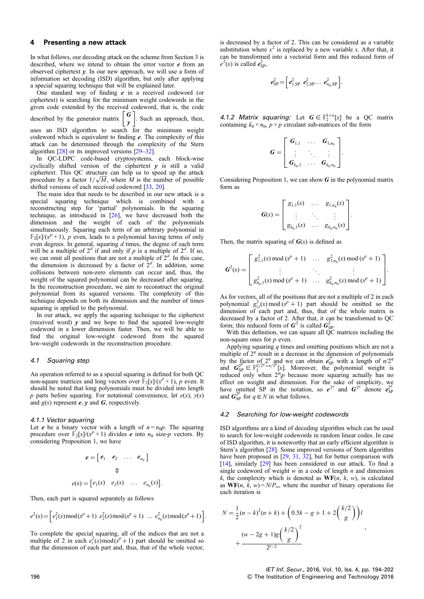## 4 Presenting a new attack

In what follows, our decoding attack on the scheme from Section 3 is described, where we intend to obtain the error vector  $e$  from an observed ciphertext y. In our new approach, we will use a form of information set decoding (ISD) algorithm, but only after applying a special squaring technique that will be explained later.

One standard way of finding  $e$  in a received codeword (or ciphertext) is searching for the minimum weight codewords in the given code extended by the received codeword, that is, the code described by the generator matrix  $\begin{bmatrix} G \\ v \end{bmatrix}$ . Such an approach, then, uses an ISD algorithm to search for the minimum weight codeword which is equivalent to finding  $e$ . The complexity of this

attack can be determined through the complexity of the Stern algorithm [[28\]](#page-8-0) or its improved versions [[29](#page-8-0)–[32](#page-8-0)]. In QC-LDPC code-based cryptosystems, each block-wise cyclically shifted version of the ciphertext  $y$  is still a valid ciphertext. This QC structure can help us to speed up the attack procedure by a factor  $1/\sqrt{M}$ , where M is the number of possible

shifted versions of each received codeword [[33,](#page-8-0) [20\]](#page-7-0). The main idea that needs to be described in our new attack is a special squaring technique which is combined with a reconstructing step for 'partial' polynomials. In the squaring technique, as introduced in [\[26](#page-8-0)], we have decreased both the dimension and the weight of each of the polynomials simultaneously. Squaring each term of an arbitrary polynomial in  $\mathbb{F}_2[x]/(x^p + 1)$ , p even, leads to a polynomial having terms of only even degrees. In general, squaring d times, the degree of each term will be a multiple of  $2^d$ . If so, we can omit all positions that are not a multiple of  $2<sup>d</sup>$ . In this case, the dimension is decreased by a factor of  $2<sup>d</sup>$ . In addition, some collisions between non-zero elements can occur and, thus, the weight of the squared polynomial can be decreased after squaring. In the reconstruction procedure, we aim to reconstruct the original polynomial from its squared versions. The complexity of this technique depends on both its dimension and the number of times squaring is applied to the polynomial.

In our attack, we apply the squaring technique to the ciphertext (received word)  $y$  and we hope to find the squared low-weight codeword in a lower dimension faster. Then, we will be able to find the original low-weight codeword from the squared low-weight codewords in the reconstruction procedure.

#### 4.1 Squaring step

An operation referred to as a special squaring is defined for both QC non-square matrices and long vectors over  $\mathbb{F}_2[x]/(x^p + 1)$ , p even. It should be noted that long polynomials must be divided into length p parts before squaring. For notational convenience, let  $e(x)$ ,  $y(x)$ and  $g(x)$  represent  $e, y$  and  $G$ , respectively.

#### 4.1.1 Vector squaring

Let *e* be a binary vector with a length of  $n = n_0p$ . The squaring procedure over  $\mathbb{F}_2[x]/(x^p + 1)$  divides *e* into  $n_0$  size-*p* vectors. By considering Proposition 1, we have

$$
e = \begin{bmatrix} e_1 & e_2 & \dots & e_{n_0} \end{bmatrix}
$$

$$
\Phi
$$

$$
e(x) = \begin{bmatrix} e_1(x) & e_2(x) & \dots & e_{n_0}(x) \end{bmatrix}.
$$

Then, each part is squared separately as follows

$$
e^{2}(x) = \left[e_{1}^{2}(x) \mod (x^{p} + 1) \ e_{2}^{2}(x) \mod (x^{p} + 1) \ \ldots \ e_{n_{0}}^{2}(x) \mod (x^{p} + 1)\right].
$$

To complete the special squaring, all of the indices that are not a multiple of 2 in each  $e_i^2(x) \mod (x^p + 1)$  part should be omitted so that the dimension of each part and, thus, that of the whole vector,

is decreased by a factor of 2. This can be considered as a variable substitution where  $x^2$  is replaced by a new variable x. After that, it can be transformed into a vectorial form and this reduced form of  $e^2(x)$  is called  $e^2_{\text{SP}}$ ,

$$
e_{\rm SP}^2 = \left[ e_{1,\rm SP}^2 \t e_{2,\rm SP}^2 \t ... \t e_{n_0,\rm SP}^2 \right]
$$

4.1.2 Matrix squaring: Let  $G \in \mathbb{F}_2^{k \times n}[x]$  be a QC matrix containing  $k_0 \times n_0$ ,  $p \times p$  circulant sub-matrices of the form

$$
G = \begin{bmatrix} G_{1,1} & \dots & G_{1,n_0} \\ \vdots & \ddots & \vdots \\ G_{k_0,1} & \dots & G_{k_0,n_0} \end{bmatrix}.
$$

Considering Proposition 1, we can show  $G$  in the polynomial matrix form as

$$
\boldsymbol{G}(x) = \begin{bmatrix} g_{1,1}(x) & \dots & g_{1,n_0}(x) \\ \vdots & \ddots & \vdots \\ g_{k_0,1}(x) & \dots & g_{k_0,n_0}(x) \end{bmatrix}.
$$

Then, the matrix squaring of  $G(x)$  is defined as

$$
G^{2}(x) = \begin{bmatrix} g_{1,1}^{2}(x) \mod (x^{p} + 1) & \dots & g_{1,n_{0}}^{2}(x) \mod (x^{p} + 1) \\ \vdots & \ddots & \vdots \\ g_{k_{0},1}^{2}(x) \mod (x^{p} + 1) & \dots & g_{k_{0},n_{0}}^{2}(x) \mod (x^{p} + 1) \end{bmatrix}.
$$

As for vectors, all of the positions that are not a multiple of 2 in each polynomial  $g_{i,j}^2(x)$  mod  $(x^p + 1)$  part should be omitted so the dimension of each part and, thus, that of the whole matrix is decreased by a factor of 2. After that, it can be transformed to QC form; this reduced form of  $G^2$  is called  $G_{SP}^2$ .<br>With this definition we can square all OC

With this definition, we can square all QC matrices including the non-square ones for p even.

Applying squaring  $q$  times and omitting positions which are not a multiple of  $2<sup>q</sup>$  result in a decrease in the dimension of polynomials by the factor of  $2^q$  and we can obtain  $e_{\text{SP}}^2$  with a length of  $n/2^q$ <br>and  $G_{\text{SP}}^2 \in \mathbb{R}^{k/2^q \times n/2^q}$ [x]. Moreover, the nolynomial weight is and  $G_{\rm SP}^{2q} \in \mathbb{F}_2^{k/2q \times n/2q}$ [x]. Moreover, the polynomial weight is reduced only when  $2^q p$  because more squaring actually has no effect on weight and dimension. For the sake of simplicity, we have omitted SP in the notation, so  $e^{2^q}$  and  $G^{2^q}$  denote  $e_{\text{SP}}^{2^q}$  and  $G^{2^q}$  for  $a \in N$  in what follows and  $G_{\text{SP}}^{2^q}$  for  $q \in N$  in what follows.

#### 4.2 Searching for low-weight codewords

ISD algorithms are a kind of decoding algorithm which can be used to search for low-weight codewords in random linear codes. In case of ISD algorithm, it is noteworthy that an early efficient algorithm is Stern's algorithm [[28\]](#page-8-0). Some improved versions of Stern algorithm have been proposed in [[29,](#page-8-0) [31,](#page-8-0) [32\]](#page-8-0), but for better comparison with [[14\]](#page-7-0), similarly [\[29](#page-8-0)] has been considered in our attack. To find a single codeword of weight  $w$  in a code of length  $n$  and dimension k, the complexity which is denoted as  $WF(n, k, w)$ , is calculated as  $WF(n, k, w) = N/P_w$ , where the number of binary operations for each iteration is

$$
N = \frac{1}{2}(n-k)^2(n+k) + \left(0.5k - g + 1 + 2\binom{k/2}{g}\right)l
$$

$$
+ \frac{(w - 2g + 1)g\binom{k/2}{g}^2}{2^{l-2}}
$$

IET Inf. Secur., 2016, Vol. 10, Iss. 4, pp. 194–202 196 & The Institution of Engineering and Technology 2016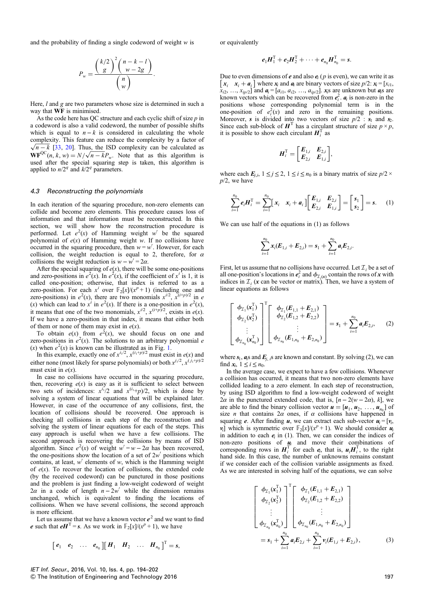and the probability of finding a single codeword of weight  $w$  is

$$
P_w = \frac{{\binom{k/2}{g}}^2 {\binom{n-k-l}{w-2g}}}{{\binom{n}{w}}}.
$$

Here, *l* and *g* are two parameters whose size is determined in such a way that WF is minimised.

As the code here has QC structure and each cyclic shift of size  $p$  in a codeword is also a valid codeword, the number of possible shifts which is equal to  $n - k$  is considered in calculating the whole complexity. This feature can reduce the complexity by a factor of  $\sqrt{n-k}$  [[33,](#page-8-0) [20\]](#page-7-0). Thus, the ISD complexity can be calculated as WF<sup>QC</sup>(n, k, w) =  $N/\sqrt{n-k}P_w$ . Note that as this algorithm is used after the special squaring step is taken, this algorithm is applied to  $n/2<sup>q</sup>$  and  $k/2<sup>q</sup>$  parameters.

#### 4.3 Reconstructing the polynomials

In each iteration of the squaring procedure, non-zero elements can collide and become zero elements. This procedure causes loss of information and that information must be reconstructed. In this section, we will show how the reconstruction procedure is performed. Let  $e^2(x)$  of Hamming weight w' be the squared polynomial of  $e(x)$  of Hamming weight w. If no collisions have occurred in the squaring procedure, then  $w = w'$ . However, for each collision, the weight reduction is equal to 2, therefore, for  $\alpha$ collisions the weight reduction is  $w - w' = 2\alpha$ .

After the special squaring of  $e(x)$ , there will be some one-positions and zero-positions in  $e^2(x)$ . In  $e^2(x)$ , if the coefficient of  $x^i$  is 1, it is called one-position; otherwise, that index is referred to as a zero-position. For each  $x^i$  over  $\mathbb{F}_2[x]/(x^p + 1)$  (including one and zero-positions) in  $e^2(x)$ , there are two monomials  $x^{i/2}$ ,  $x^{(i+p)/2}$  in e (x) which can lead to  $x^i$  in  $e^2(x)$ . If there is a one-position in  $e^2(x)$ , it means that one of the two monomials,  $x^{i/2}$ ,  $x^{(i+p)/2}$ , exists in  $e(x)$ . If we have a zero-position in that index, it means that either both of them or none of them may exist in  $e(x)$ .

To obtain  $e(x)$  from  $e^2(x)$ , we should focus on one and zero-positions in  $e^2(x)$ . The solutions to an arbitrary polynomial e (x) when  $e^2(x)$  is known can be illustrated as in Fig. [1](#page-4-0).

In this example, exactly one of  $x^{i_1/2}$ ,  $x^{(i_1+p)/2}$  must exist in  $e(x)$  and either none (most likely for sparse polynomials) or both  $x^{j_1/2}$ ,  $x^{(j_1+p)/2}$ must exist in  $e(x)$ .

In case no collisions have occurred in the squaring procedure, then, recovering  $e(x)$  is easy as it is sufficient to select between two sets of incidences:  $x^{i_1}/2$  and  $x^{(i_1}+p)/2$ , which is done by solving a system of linear equations that will be explained later. However, in case of the occurrence of any collisions, first, the location of collisions should be recovered. One approach is checking all collisions in each step of the reconstruction and solving the system of linear equations for each of the steps. This easy approach is useful when we have a few collisions. The second approach is recovering the collisions by means of ISD algorithm. Since  $e^{2}(x)$  of weight  $w' = w - 2\alpha$  has been recovered, the one-positions show the location of a set of  $2w'$  positions which contains, at least,  $w'$  elements of  $w$ , which is the Hamming weight of  $e(x)$ . To recover the location of collisions, the extended code (by the received codeword) can be punctured in those positions and the problem is just finding a low-weight codeword of weight  $2\alpha$  in a code of length  $n - 2w'$  while the dimension remains unchanged, which is equivalent to finding the locations of collisions. When we have several collisions, the second approach is more efficient.

Let us assume that we have a known vector  $e^2$  and we want to find e such that  $eH^{T} = s$ . As we work in  $\mathbb{F}_2[x]/(x^p + 1)$ , we have

$$
\begin{bmatrix} e_1 & e_2 & \dots & e_{n_0} \end{bmatrix} \begin{bmatrix} H_1 & H_2 & \dots & H_{n_0} \end{bmatrix}^T = s,
$$

or equivalently

$$
e_1H_1^T + e_2H_2^T + \cdots + e_{n_0}H_{n_0}^T = s.
$$

Due to even dimensions of  $e$  and also  $e_i$  ( $p$  is even), we can write it as  $\begin{bmatrix} x_i & x_i + a_i \end{bmatrix}$  where  $x_i$  and  $a_i$  are binary vectors of size  $p/2$ :  $x_i = [x_{i1}, x_{i2}, \ldots, x_{ip/2}]$  and  $a_i = [a_{i1}, a_{i2}, \ldots, a_{ip/2}]$ .  $x_i$ s are unknown but  $a_i$ s are known vectors which can be recovered from  $e^2$ ,  $a_i$  $\begin{bmatrix} x_i & x_i + a_i \end{bmatrix}$  where  $x_i$  and  $a_i$  are binary vectors of size  $p/2$ :  $x_i = [x_{i1},$ known vectors which can be recovered from  $e_i^2$ ,  $a_i$  is non-zero in the nositions whose corresponding polynomial term is in the positions whose corresponding polynomial term is in the one-position of  $e_i^2(x)$  and zero in the remaining positions. Moreover, *s* is divided into two vectors of size  $p/2$  :  $s_1$  and  $s_2$ .<br>Since each sub-block of  $\mathbf{H}^T$  has a circulant structure of size  $p \times p$ ,<br>it is nossible to show each circulant  $\mathbf{H}^T$  as it is possible to show each circulant  $H_i^T$  as

$$
\boldsymbol{H}_{i}^{\mathrm{T}}=\left[\begin{matrix}\boldsymbol{E}_{1,i} & \boldsymbol{E}_{2,i}\\ \boldsymbol{E}_{2,i} & \boldsymbol{E}_{1,i}\end{matrix}\right],
$$

where each  $E_{i,i}$ ,  $1 \leq j \leq 2$ ,  $1 \leq i \leq n_0$  is a binary matrix of size  $p/2 \times$  $p/2$ , we have

$$
\sum_{i=1}^{n_0} e_i \mathbf{H}_i^{\mathrm{T}} = \sum_{i=1}^{n_0} \left[ \mathbf{x}_i \quad \mathbf{x}_i + \mathbf{a}_i \right] \left[ \begin{array}{cc} \mathbf{E}_{1,i} & \mathbf{E}_{2,i} \\ \mathbf{E}_{2,i} & \mathbf{E}_{1,i} \end{array} \right] = \left[ \begin{array}{c} s_1 \\ s_2 \end{array} \right] = s. \tag{1}
$$

We can use half of the equations in (1) as follows

$$
\sum_{i=1}^{n_0} x_i (E_{1,i} + E_{2,i}) = s_1 + \sum_{i=1}^{n_0} a_i E_{2,i}.
$$

First, let us assume that no collisions have occurred. Let  $\mathcal{I}_i$  be a set of all one-position's locations in  $e_i^2$  and  $\phi_{\mathcal{I}_i(x)}$  contain the rows of x with indices in  $\mathcal{I}_i(x)$  can be vector or matrix). Then we have a system of indices in  $\mathcal{I}_i$  (x can be vector or matrix). Then, we have a system of linear equations as follows linear equations as follows

$$
\begin{bmatrix}\n\phi_{\mathcal{I}_1}(\mathbf{x}_1^{\mathrm{T}}) \\
\phi_{\mathcal{I}_2}(\mathbf{x}_2^{\mathrm{T}}) \\
\vdots \\
\phi_{\mathcal{I}_{n_0}}(\mathbf{x}_{n_0}^{\mathrm{T}})\n\end{bmatrix}^{\mathrm{T}}\n\begin{bmatrix}\n\phi_{\mathcal{I}_1}(E_{1,1} + E_{2,1}) \\
\phi_{\mathcal{I}_2}(E_{1,2} + E_{2,2}) \\
\vdots \\
\phi_{\mathcal{I}_{n_0}}(E_{1,n_0} + E_{2,n_0})\n\end{bmatrix} = s_1 + \sum_{i=1}^{n_0} a_i E_{2,i},
$$
\n(2)

where  $s_1$ ,  $a_i$ s and  $E_i$ , is are known and constant. By solving (2), we can find  $x_i$ ,  $1 \leq i \leq n_0$ .

In the average case, we expect to have a few collisions. Whenever a collision has occurred, it means that two non-zero elements have collided leading to a zero element. In each step of reconstruction, by using ISD algorithm to find a low-weight codeword of weight  $2\alpha$  in the punctured extended code, that is,  $[n-2(w-2\alpha), k]$ , we are able to find the binary collision vector  $\mathbf{u} = [\mathbf{u}_1, \mathbf{u}_2, \dots, \mathbf{u}_{n_0}]$  of<br>size *n* that contains 2*a* ones if *a* collisions have hanneed in size *n* that contains  $2\alpha$  ones, if  $\alpha$  collisions have happened in squaring *e*. After finding *u*, we can extract each sub-vector  $u_i = [v_i, v_j]$  which is symmetric over  $\mathbb{F}_2[x]/(x^p + 1)$ . We should consider  $u_i$  $\nu_i$ ] which is symmetric over  $\mathbb{F}_2[x]/(x^p + 1)$ . We should consider  $\mu$ <br>in addition to each e in (1). Then we can consider the indices of in addition to each  $e_i$  in (1). Then, we can consider the indices of non-zero positions of  $\mu$  and move their combinations of non-zero positions of  $u_i$  and move their combinations of corresponding rows in  $H<sup>T</sup>$  for each e that is  $uH<sup>T</sup>$  to the right corresponding rows in  $H_i^T$  for each  $e_i$ , that is,  $u_i H_i^T$ , to the right<br>hand side. In this case, the number of unknowns remains constant hand side. In this case, the number of unknowns remains constant if we consider each of the collision variable assignments as fixed. As we are interested in solving half of the equations, we can solve

$$
\begin{bmatrix}\n\phi_{\mathcal{I}_1}(\mathbf{x}_1^{\mathrm{T}}) \\
\phi_{\mathcal{I}_2}(\mathbf{x}_2^{\mathrm{T}})\n\end{bmatrix}^{\mathrm{T}}\n\begin{bmatrix}\n\phi_{\mathcal{I}_1}(E_{1,1} + E_{2,1}) \\
\phi_{\mathcal{I}_2}(E_{1,2} + E_{2,2}) \\
\vdots \\
\phi_{\mathcal{I}_{n_0}}(\mathbf{x}_{n_0}^{\mathrm{T}})\n\end{bmatrix}
$$
\n
$$
= \mathbf{s}_1 + \sum_{i=1}^{n_0} \mathbf{a}_i E_{2,i} + \sum_{i=1}^{n_0} \mathbf{v}_i(E_{1,i} + E_{2,i}),
$$
\n(3)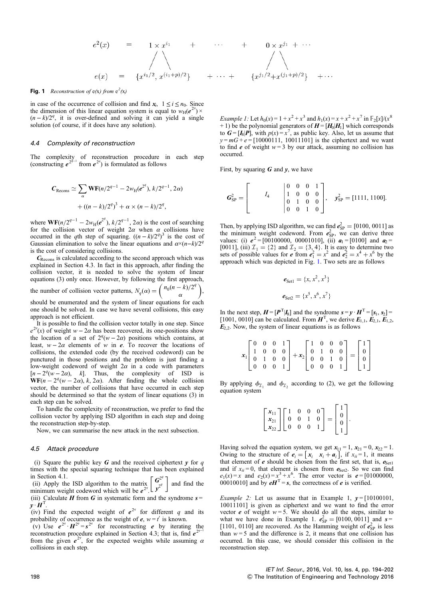$$
e^{2}(x) = 1 \times x^{i_{1}} + \cdots + 0 \times x^{j_{1}} + \cdots
$$
  
\n
$$
e(x) = \{x^{i_{1}/2}, x^{(i_{1}+p)/2}\} + \cdots + \{x^{j_{1}/2}+x^{(j_{1}+p)/2}\} + \cdots
$$

## <span id="page-4-0"></span>Fig. 1 Reconstruction of  $e(x)$  from  $e^2(x)$

in case of the occurrence of collision and find  $x_i$ ,  $1 \le i \le n_0$ . Since the dimension of this linear equation system is equal to  $w_H(e^x)$  $) \times$  $(n-k)/2<sup>q</sup>$ , it is over-defined and solving it can yield a single solution (of course, if it does have any solution).

## 4.4 Complexity of reconstruction

The complexity of reconstruction procedure in each step (constructing  $e^{2^{q-1}}$  from  $e^{2^q}$ ) is formulated as follows

$$
C_{\text{Recons}} \simeq \sum_{\alpha} \mathbf{W} \mathbf{F}(n/2^{q-1} - 2w_{\text{H}}(e^{2^q}), k/2^{q-1}, 2\alpha)
$$

$$
+ ((n-k)/2^q)^3 + \alpha \times (n-k)/2^q,
$$

where  $WF(n/2^{q-1} - 2w_H(e^{2^q}), k/2^{q-1}, 2\alpha)$  is the cost of searching<br>for the collision vector of weight  $2\alpha$  when  $\alpha$  collisions have for the collision vector of weight  $2\alpha$  when  $\alpha$  collisions have occurred in the qth step of squaring.  $((n-k)/2^q)^3$  is the cost of Gaussian elimination to solve the linear equations and  $\alpha \times (n-k)/2^q$ is the cost of considering collisions.

<sup>C</sup>Recons is calculated according to the second approach which was explained in Section 4.3. In fact in this approach, after finding the collision vector, it is needed to solve the system of linear equations (3) only once. However, by following the first approach, the number of collision vector patterns,  $N_q(\alpha) = \begin{pmatrix} n_0(n-k)/2^q \\ \alpha \end{pmatrix}$ , should be enumerated and the system of linear equations for each one should be solved. In case we have several collisions, this easy

approach is not efficient. It is possible to find the collision vector totally in one step. Since  $e^{2^q}(x)$  of weight w – 2 $\alpha$  has been recovered, its one-positions show

the location of a set of  $2^q(w-2\alpha)$  positions which contains, at least,  $w - 2\alpha$  elements of w in e. To recover the locations of collisions, the extended code (by the received codeword) can be punctured in those positions and the problem is just finding a low-weight codeword of weight  $2\alpha$  in a code with parameters  $[n-2^q(w-2\alpha), k]$ . Thus, the complexity of ISD is  $WF(n-2^q(w-2\alpha), k, 2\alpha)$ . After finding the whole collision vector, the number of collisions that have occurred in each step should be determined so that the system of linear equations (3) in each step can be solved.

To handle the complexity of reconstruction, we prefer to find the collision vector by applying ISD algorithm in each step and doing the reconstruction step-by-step.

Now, we can summarise the new attack in the next subsection.

#### 4.5 Attack procedure

(i) Square the public key  $G$  and the received ciphertext  $y$  for  $q$ times with the special squaring technique that has been explained in Section 4.1.

ii) Apply the ISD algorithm to the matrix  $\left[\int_{x^2}^{2^q}$ ʻ  $\left[\begin{array}{c} \mathbf{G}^{2q} \\ \mathbf{G}^{2q} \end{array}\right]$  and find the minimum weight codeword which will be  $e^{2^q}$ .<br>(iii) Calculate **H** from **G** in systematic form a

(iii) Calculate  $H$  from  $G$  in systematic form and the syndrome  $s =$  $\vec{y} \cdot \vec{H}^{\text{T}}$ .<br>(iv) F

(iv) Find the expected weight of  $e^{2^q}$  for different q and its probability of occurrence as the weight of  $e^{-w} = f$  is known

probability of occurrence as the weight of  $e, w = t'$  is known.<br>
(v) Use  $e^{2^q} \cdot H^{2^q} = s^{2^q}$  for reconstructing e by iterating the<br>
reconstruction procedure explained in Section 4.3; that is find  $e^{2^{q-1}}$ reconstruction procedure explained in Section 4.3; that is, find  $e^{2^q}$ from the given  $e^{2t}$ , for the expected weights while assuming  $\alpha$  collisions in each step. collisions in each step.

*Example 1:* Let  $h_0(x) = 1 + x^2 + x^3$  and  $h_1(x) = x + x^2 + x^7$  in  $\mathbb{F}_2[x]/(x^8)$  $+ 1$ ) be the polynomial generators of  $H = [H_0|H_1]$  which corresponds to  $G = [I_8]P]$ , with  $p(x) = x^7$ , as public key. Also, let us assume that  $y = mG + e = [10000111 \ 100111011]$  is the cinhertext and we want  $y = mG + e = [10000111, 10011101]$  is the ciphertext and we want to find  $e$  of weight  $w = 3$  by our attack, assuming no collision has occurred.

First, by squaring  $G$  and  $y$ , we have

$$
\boldsymbol{G}_{\text{SP}}^2 = \begin{bmatrix} I_4 & \begin{bmatrix} 0 & 0 & 0 & 1 \\ 1 & 0 & 0 & 0 \\ 0 & 1 & 0 & 0 \\ 0 & 0 & 1 & 0 \end{bmatrix}, \quad \boldsymbol{y}_{\text{SP}}^2 = [1111, 1100].
$$

Then, by applying ISD algorithm, we can find  $e_{\text{SP}}^2 = [0100, 0011]$  as the minimum weight codeword. From  $e_{\text{SP}}^2$  we can derive three the minimum weight codeword. From  $e_{\text{SP}}^2$ , we can derive three<br>values: (i)  $e^2 = 1001000000000001010101$  (ii)  $a_1 = 101001$  and  $a_2 =$ values: (i)  $e^2 = [00100000, 00001010],$  (ii)  $a_1 = [0100]$  and  $a_2 =$ [0011], (iii)  $\mathcal{I}_1 = \{2\}$  and  $\mathcal{I}_2 = \{3, 4\}$ . It is easy to determine two sets of possible values for  $e^2$  from  $e_1^2 = x^2$  and  $e_2^2 = x^4 + x^6$  by the approach which was depicted in Fig. 1. Two sets are as follows approach which was depicted in Fig. 1. Two sets are as follows

$$
e_{\text{Set1}} = \{x, x^2, x^3\}
$$

$$
e_{\text{Set2}} = \{x^5, x^6, x^7\}
$$

In the next step,  $H = [P^T|I_8]$  and the syndrome  $s = y \cdot H^T = [s_1, s_2] =$ <br>[1001–0010] can be calculated From  $H^T$  we derive  $E_1, E_2, E_3$ [1001, 0010] can be calculated. From  $\mathbf{H}^T$ , we derive  $\mathbf{E}_{1,1}$ ,  $\mathbf{E}_{2,1}$ ,  $\mathbf{E}_{1,2}$ ,  $\mathbf{E}_{6,2}$ . Now the system of linear equations is as follows  $E_{2,2}$ . Now, the system of linear equations is as follows

|  |  |                                               | $x_1\begin{bmatrix} 0 & 0 & 0 & 1 \\ 1 & 0 & 0 & 0 \\ 0 & 1 & 0 & 0 \\ 0 & 0 & 0 & 1 \end{bmatrix} + x_2\begin{bmatrix} 1 & 0 & 0 & 0 \\ 0 & 1 & 0 & 0 \\ 0 & 0 & 1 & 0 \\ 0 & 0 & 0 & 1 \end{bmatrix} = \begin{bmatrix} 1 \\ 0 \\ 0 \\ 1 \end{bmatrix}$ |  |  | $\begin{bmatrix} 0 & 0 & 0 & 1 \end{bmatrix}$ |  |
|--|--|-----------------------------------------------|----------------------------------------------------------------------------------------------------------------------------------------------------------------------------------------------------------------------------------------------------------|--|--|-----------------------------------------------|--|
|  |  |                                               |                                                                                                                                                                                                                                                          |  |  |                                               |  |
|  |  | $\begin{bmatrix} 0 & 0 & 0 & 1 \end{bmatrix}$ |                                                                                                                                                                                                                                                          |  |  |                                               |  |

By applying  $\phi_{I_1}$  and  $\phi_{I_2}$  according to (2), we get the following equation system

| $\begin{bmatrix} x_{11} \\ x_{21} \\ x_{22} \end{bmatrix} \begin{bmatrix} 1 & 0 & 0 & 0 \\ 0 & 0 & 1 & 0 \\ 0 & 0 & 0 & 1 \end{bmatrix} = \begin{bmatrix} 1 \\ 0 \\ 0 \\ 1 \end{bmatrix}.$ |  |  |  |  |  |  |  |
|--------------------------------------------------------------------------------------------------------------------------------------------------------------------------------------------|--|--|--|--|--|--|--|
|--------------------------------------------------------------------------------------------------------------------------------------------------------------------------------------------|--|--|--|--|--|--|--|

Having solved the equation system, we get  $x_{11} = 1$ ,  $x_{21} = 0$ ,  $x_{22} = 1$ .<br>Owing to the structure of  $e_1 = [x_1, x_2 + a_1]$  if  $x_2 = 1$  it means Owing to the structure of  $e_i = \begin{bmatrix} x_i & x_i + a_i \end{bmatrix}$ , if  $x_{ii} = 1$ , it means that element of  $e$  should be chosen from the first set that is  $e_{i+1}$ that element of  $e$  should be chosen from the first set, that is,  $e_{\text{Set}1}$ and if  $x_{ii} = 0$ , that element is chosen from  $e_{\text{Set2}}$ . So we can find  $e_1(x) = x$  and  $e_2(x) = x^3 + x^6$ . The error vector is  $e = [010000000, 00010010]$  and by  $eH^T = s$ , the correctness of  $e$  is verified.

*Example 2:* Let us assume that in Example 1,  $v = [10100101]$ , 10011101] is given as ciphertext and we want to find the error vector  $e$  of weight  $w = 5$ . We should do all the steps, similar to what we have done in Example 1.  $e_{\text{SP}}^2 = [0100, 0011]$  and  $s =$ <br>[1101–0110] are recovered. As the Hamming weight of  $e_{\text{SP}}^2$  is less [1101, 0110] are recovered. As the Hamming weight of  $\vec{e}_{\text{SP}}^2$  is less<br>than  $w = 5$  and the difference is 2 it means that one collision has than  $w = 5$  and the difference is 2, it means that one collision has occurred. In this case, we should consider this collision in the reconstruction step.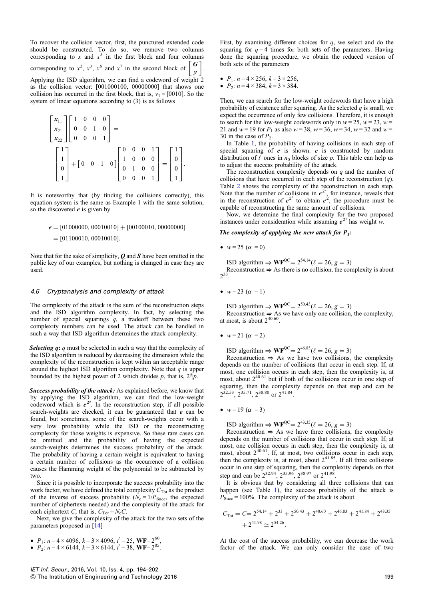To recover the collision vector, first, the punctured extended code should be constructed. To do so, we remove two columns corresponding to x and  $x^5$  in the first block and four columns corresponding to  $x^2$ ,  $x^3$ ,  $x^6$  and  $x^7$  in the second block of  $\begin{bmatrix} \mathbf{G} \\ \mathbf{w} \end{bmatrix}$  $\left[ \begin{array}{c} G \ y \end{array} \right]$ 

Applying the ISD algorithm, we can find a codeword of weight 2 as the collision vector: [001000100, 00000000] that shows one collision has occurred in the first block, that is,  $v_1 = [0010]$ . So the system of linear equations according to (3) is as follows

$$
\begin{bmatrix} x_{11} \\ x_{21} \\ x_{22} \end{bmatrix} \begin{bmatrix} 1 & 0 & 0 & 0 \\ 0 & 0 & 1 & 0 \\ 0 & 0 & 0 & 1 \end{bmatrix} = \begin{bmatrix} 1 \\ 1 \\ 0 \\ 1 \end{bmatrix} + \begin{bmatrix} 0 & 0 & 1 & 0 \\ 0 & 1 & 0 & 0 \\ 0 & 1 & 0 & 0 \\ 0 & 0 & 0 & 1 \end{bmatrix} = \begin{bmatrix} 1 \\ 0 \\ 0 \\ 1 \end{bmatrix}.
$$

It is noteworthy that (by finding the collisions correctly), this equation system is the same as Example 1 with the same solution, so the discovered  $e$  is given by

$$
e = [01000000, 00010010] + [00100010, 00000000]
$$
  
= [01100010, 00010010].

Note that for the sake of simplicity,  $Q$  and  $S$  have been omitted in the public key of our examples, but nothing is changed in case they are used.

## 4.6 Cryptanalysis and complexity of attack

The complexity of the attack is the sum of the reconstruction steps and the ISD algorithm complexity. In fact, by selecting the number of special squarings  $q$ , a tradeoff between these two complexity numbers can be used. The attack can be handled in such a way that ISD algorithm determines the attack complexity.

Selecting  $q: q$  must be selected in such a way that the complexity of the ISD algorithm is reduced by decreasing the dimension while the complexity of the reconstruction is kept within an acceptable range around the highest ISD algorithm complexity. Note that  $q$  is upper bounded by the highest power of 2 which divides p, that is,  $2^q$ p.

Success probability of the attack: As explained before, we know that by applying the ISD algorithm, we can find the low-weight codeword which is  $e^{2^q}$ . In the reconstruction step, if all possible search-weights are checked it can be guaranteed that e can be search-weights are checked, it can be guaranteed that  $e$  can be found, but sometimes, some of the search-weights occur with a very low probability while the ISD or the reconstructing complexity for those weights is expensive. So these rare cases can be omitted and the probability of having the expected search-weights determines the success probability of the attack. The probability of having a certain weight is equivalent to having a certain number of collisions as the occurrence of a collision causes the Hamming weight of the polynomial to be subtracted by two.

Since it is possible to incorporate the success probability into the work factor, we have defined the total complexity  $C_{\text{Tot}}$  as the product of the inverse of success probability ( $N_c = 1/P_{Succ}$ , the expected number of ciphertexts needed) and the complexity of the attack for each ciphertext C, that is,  $C_{\text{Tot}} = N_{\text{c}}C$ .

Next, we give the complexity of the attack for the two sets of the parameters proposed in [\[14](#page-7-0)]

- $P_1$ :  $n = 4 \times 4096$ ,  $k = 3 \times 4096$ ,  $t' = 25$ , WF=  $2^{60}$ ,
- $P_2$ :  $n = 4 \times 6144$ ,  $k = 3 \times 6144$ ,  $t' = 38$ , WF=  $2^{85}$ .

First, by examining different choices for  $q$ , we select and do the squaring for  $q = 4$  times for both sets of the parameters. Having done the squaring procedure, we obtain the reduced version of both sets of the parameters

- $P_1: n = 4 \times 256, k = 3 \times 256,$
- $P_2$ :  $n = 4 \times 384$ ,  $k = 3 \times 384$ .

Then, we can search for the low-weight codewords that have a high probability of existence after squaring. As the selected  $q$  is small, we expect the occurrence of only few collisions. Therefore, it is enough to search for the low-weight codewords only in  $w = 25$ ,  $w = 23$ ,  $w =$ 21 and  $w = 19$  for  $P_1$  as also  $w = 38$ ,  $w = 36$ ,  $w = 34$ ,  $w = 32$  and  $w =$ 30 in the case of  $P_2$ .

In Table [1](#page-6-0), the probability of having collisions in each step of special squaring of  $e$  is shown.  $e$  is constructed by random distribution of  $t'$  ones in  $n_0$  blocks of size  $p$ . This table can help us to adjust the success probability of the attack.

The reconstruction complexity depends on  $q$  and the number of collisions that have occurred in each step of the reconstruction  $(q)$ . Table [2](#page-6-0) shows the complexity of the reconstruction in each step. Note that the number of collisions in  $e^{2^2}$ , for instance, reveals that in the reconstruction of  $e^{2^2}$  to obtain  $e^2$ , the procedure must be canable of reconstructing the same amount of collisions capable of reconstructing the same amount of collisions.

Now, we determine the final complexity for the two proposed instances under consideration while assuming  $e^{2^4}$  has weight w.

### The complexity of applying the new attack for  $P_1$ :

•  $w = 25 (\alpha = 0)$ 

ISD algorithm  $\Rightarrow \mathbf{WF}^{\text{QC}} = 2^{54.14} (\ell = 26, g = 3)$ Reconstruction  $\Rightarrow$  As there is no collision, the complexity is about  $2^{33}$ 

•  $w = 23 (\alpha = 1)$ 

ISD algorithm  $\Rightarrow \text{WF}^{\text{QC}} = 2^{50.43} (\ell = 26, g = 3)$ Reconstruction  $\Rightarrow$  As we have only one collision, the complexity, at most, is about  $2^{40.60}$ .

•  $w = 21 (\alpha = 2)$ 

ISD algorithm  $\Rightarrow \text{WF}^{\text{QC}} = 2^{46.83} (\ell = 26, g = 3)$ 

Reconstruction  $\Rightarrow$  As we have two collisions, the complexity depends on the number of collisions that occur in each step. If, at most, one collision occurs in each step, then the complexity is, at most, one complex measured in the collisions occur in one step of most, about  $2^{40.61}$  but if both of the collisions occur in one step of squaring, then the complexity depends on that step and can be  $2^{32.53}$ ,  $2^{35.71}$ ,  $2^{38.80}$  or  $2^{41.84}$ .

•  $w = 19 (\alpha = 3)$ 

ISD algorithm  $\Rightarrow \text{WF}^{\text{QC}} = 2^{43.35} (\ell = 26, g = 3)$ 

Reconstruction  $\Rightarrow$  As we have three collisions, the complexity depends on the number of collisions that occur in each step. If, at most, one collision occurs in each step, then the complexity is, at most, about  $2^{40.61}$ . If, at most, two collisions occur in each step, then the complexity is, at most, about  $2^{41.85}$ . If all three collisions occur in one step of squaring, then the complexity depends on that step and can be  $2^{32.94}$ ,  $2^{35.96}$ ,  $2^{38.97}$  or  $2^{41.98}$ .

It is obvious that by considering all three collisions that can happen (see Table [1](#page-6-0)), the success probability of the attack is  $P_{Succ} = 100\%$ . The complexity of the attack is about

$$
C_{\text{Tot}} = C = 2^{54.14} + 2^{33} + 2^{50.43} + 2^{40.60} + 2^{46.83} + 2^{41.84} + 2^{43.35} + 2^{41.98} \approx 2^{54.26}.
$$

At the cost of the success probability, we can decrease the work factor of the attack. We can only consider the case of two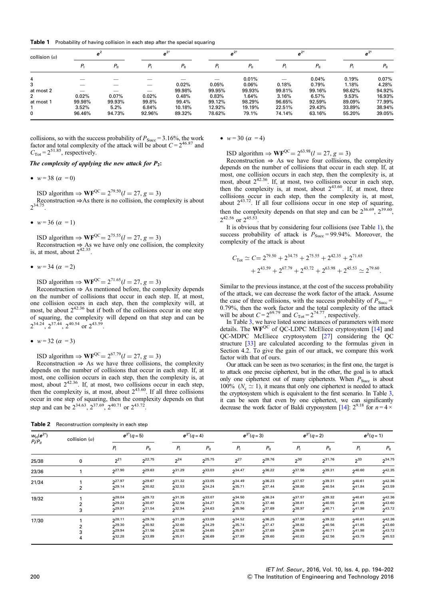<span id="page-6-0"></span>Table 1 Probability of having collision in each step after the special squaring

| collision $(\alpha)$ | $e^2$   |              | $e^{2^2}$ |              | $e^{2^3}$ |              | $e^{2^4}$ |              | $e^{2^5}$ |              |
|----------------------|---------|--------------|-----------|--------------|-----------|--------------|-----------|--------------|-----------|--------------|
|                      | $P_{1}$ | $P_{\rm II}$ | $P_{1}$   | $P_{\rm II}$ | P         | $P_{\rm II}$ | $P_{1}$   | $P_{\rm II}$ |           | $P_{\rm II}$ |
| 4                    |         |              |           |              |           | 0.01%        |           | 0.04%        | 0.19%     | $0.07\%$     |
| 3                    |         |              | $-$       | 0.02%        | 0.05%     | 0.06%        | 0.18%     | 0.79%        | 1.18%     | 4.28%        |
| at most 2            |         |              |           | 99.98%       | 99.95%    | 99.93%       | 99.81%    | 99.16%       | 98.62%    | 94.92%       |
| 2                    | 0.02%   | 0.07%        | 0.02%     | 0.48%        | 0.83%     | 1.64%        | 3.16%     | 6.57%        | 9.53%     | 16.93%       |
| at most 1            | 99.98%  | 99.93%       | 99.8%     | 99.4%        | 99.12%    | 98.29%       | 96.65%    | 92.59%       | 89.09%    | 77.99%       |
|                      | 3.52%   | 5.2%         | 6.84%     | 10.18%       | 12.92%    | 19.19%       | 22.51%    | 29.43%       | 33.89%    | 38.94%       |
| 0                    | 96.46%  | 94.73%       | 92.96%    | 89.32%       | 78.62%    | 79.1%        | 74.14%    | 63.16%       | 55.20%    | 39.05%       |

collisions, so with the success probability of  $P_{Succ} = 3.16\%$ , the work factor and total complexity of the attack will be about  $C = 2^{46.87}$  and  $C_{\text{Tot}} = 2^{51.85}$ , respectively.

The complexity of applying the new attack for  $P_2$ :

•  $w = 38 (\alpha = 0)$ 

ISD algorithm  $\Rightarrow \mathbf{WF}^{QC} = 2^{79.50} (l = 27, g = 3)$ <br>Reconstruction  $\Rightarrow$ As there is no collision, the complexity is about  $2^{34.75}$ .

•  $w = 36 (\alpha = 1)$ 

ISD algorithm  $\Rightarrow \text{WF}^{\text{QC}} = 2^{75.55} (l = 27, g = 3)$ Reconstruction  $\Rightarrow$  As we have only one collision, the complexity is, at most, about  $2^{42.35}$ .

•  $w = 34 (\alpha = 2)$ 

ISD algorithm  $\Rightarrow \text{WF}^{\text{QC}} = 2^{71.65} (l = 27, g = 3)$ 

Reconstruction  $\Rightarrow$  As mentioned before, the complexity depends on the number of collisions that occur in each step. If, at most, one collision occurs in each step, then the complexity will, at most, be about  $2^{42.36}$  but if both of the collisions occur in one step of squaring, the complexity will depend on that step and can be 2<sup>34.24</sup>, 2<sup>37.44</sup>, 2<sup>40.54</sup> or 2<sup>43.59</sup>

•  $w = 32 (\alpha = 3)$ 

ISD algorithm  $\Rightarrow \text{WF}^{\text{QC}} = 2^{67.79} (l = 27, g = 3)$ 

Reconstruction  $\Rightarrow$  As we have three collisions, the complexity depends on the number of collisions that occur in each step. If, at most, one collision occurs in each step, then the complexity is, at most, about  $2^{42.36}$ . If, at most, two collisions occur in each step, then the complexity is, at most, about  $2^{43.60}$ . If all three collisions occur in one step of squaring, then the complexity depends on that step and can be  $2^{34.63}$ ,  $2^{37.69}$ ,  $2^{40.71}$  or  $2^{43.72}$ .

Table 2 Reconstruction complexity in each step

•  $w = 30 (\alpha = 4)$ 

ISD algorithm  $\Rightarrow \text{WF}^{\text{QC}} = 2^{63.98} (l = 27, g = 3)$ 

Reconstruction  $\Rightarrow$  As we have four collisions, the complexity depends on the number of collisions that occur in each step. If, at most, one collision occurs in each step, then the complexity is, at most, about  $2^{42.36}$ . If, at most, two collisions occur in each step, then the complexity is, at most, about  $2^{43.60}$ . If, at most, three collisions occur in each step, then the complexity is, at most, about  $2^{43.72}$ . If all four collisions occur in one step of squaring, then the complexity depends on that step and can be  $2^{36.69}$ ,  $2^{39.60}$ ,  $2^{42.56}$  or  $2^{45.53}$ 

It is obvious that by considering four collisions (see Table 1), the success probability of attack is  $P_{Succ} = 99.94\%$ . Moreover, the complexity of the attack is about

$$
C_{\text{Tot}} \simeq C = 2^{79.50} + 2^{34.75} + 2^{75.55} + 2^{42.35} + 2^{71.65} + 2^{43.59} + 2^{43.59} + 2^{45.72} + 2^{63.98} + 2^{45.53} \simeq 2^{79.60}.
$$

Similar to the previous instance, at the cost of the success probability of the attack, we can decrease the work factor of the attack. Assume the case of three collisions, with the success probability of  $P_{Succ}$  = 0.79%, then the work factor and the total complexity of the attack will be about  $C = 2^{69.79}$  and  $C_{\text{Tot}} = 2^{74.77}$ , respectively.

In Table [3](#page-7-0), we have listed some instances of parameters with more details. The  $WF^{QC}$  of QC-LDPC McEliece cryptosystem [[14\]](#page-7-0) and QC-MDPC McEliece cryptosystem [[27\]](#page-8-0) considering the QC structure [\[33](#page-8-0)] are calculated according to the formulas given in Section 4.2. To give the gain of our attack, we compare this work factor with that of ours.

Our attack can be seen as two scenarios; in the first one, the target is to attack one precise ciphertext, but in the other, the goal is to attack only one ciphertext out of many ciphertexts. When  $P_{Succ}$  is about 100% ( $N_c \simeq 1$ ), it means that only one ciphertext is needed to attack the cryptosystem which is equivalent to the first scenario. In Table [3](#page-7-0), it can be seen that even by one ciphertext, we can significantly decrease the work factor of Baldi cryposystem [[14](#page-7-0)]:  $2^{9.18}$  for  $n = 4 \times$ 

| $w_H(e^{2q})$<br>P/P <sub>II</sub> | collision $(\alpha)$ |                                                    | $e^{2^5}(q=5)$                           |                                           | $e^{2^4}(q=4)$                                 |                                           | $e^{2^3}(q=3)$                                 |                                           | $e^{2^2}(q=2)$                                 |                                                     | $e^2(q=1)$                                               |  |
|------------------------------------|----------------------|----------------------------------------------------|------------------------------------------|-------------------------------------------|------------------------------------------------|-------------------------------------------|------------------------------------------------|-------------------------------------------|------------------------------------------------|-----------------------------------------------------|----------------------------------------------------------|--|
|                                    |                      | $P_{1}$                                            | $P_{\rm II}$                             | $P_{1}$                                   | $P_{\rm II}$                                   | $P_{1}$                                   | $P_{\rm II}$                                   | $P_{1}$                                   | $P_{\rm II}$                                   | $P_1$                                               | $P_{\parallel}$                                          |  |
| 25/38                              | 0                    | $2^{21}$                                           | 22.75                                    | $2^{24}$                                  | 225.75                                         | $2^{27}$                                  | 28.76                                          | $2^{30}$                                  | 231.76                                         | $2^{33}$                                            | 234.75                                                   |  |
| 23/36                              |                      | $2^{27.90}$                                        | 29.63                                    | $2^{31.29}$                               | $2^{33.03}$                                    | $2^{34.47}$                               | $2^{36.22}$                                    | $2^{37.56}$                               | 239.31                                         | $2^{40.60}$                                         | $2^{42.35}$                                              |  |
| 21/34                              |                      | $2^{27.97}$<br>229.14                              | $2^{29.67}$<br>230.82                    | 231.32<br>232.53                          | 233.05<br>234.24                               | 234.49<br>235.71                          | 236.23<br>237.44                               | 237.57<br>238.80                          | 239.31<br>240.54                               | $2^{40.61}$<br>241.84                               | $2^{42.36}$<br>$2^{43.59}$                               |  |
| 19/32                              |                      | $2^{28.04}$<br>$2^{29.22}$<br>29.91                | 29.72<br>$2^{30.87}$<br>231.54           | 231.35<br>$2^{32.56}$<br>232.94           | 233.07<br>$2^{34.27}$<br>234.63                | $2^{34.50}$<br>$2^{35.73}$<br>235.96      | 236.24<br>$2^{37.46}$<br>237.69                | 237.57<br>238.81<br>238.97                | 239.32<br>$2^{40.55}$<br>240.71                | $2^{40.61}$<br>$2^{41.85}$<br>241.98                | $2^{42.36}$<br>$2^{43.60}$<br>$2^{43.72}$                |  |
| 17/30                              |                      | $2^{28.11}$<br>29.30<br>$2^{29.94}$<br>$2^{32.28}$ | 29.76<br>230.92<br>$2^{31.56}$<br>233.89 | 231.39<br>232.60<br>232.96<br>$2^{35.01}$ | 233.09<br>$2^{34.29}$<br>$2^{34.65}$<br>236.69 | 234.52<br>235.74<br>$2^{35.97}$<br>237.89 | 236.25<br>$2^{37.47}$<br>$2^{37.69}$<br>239.60 | 237.58<br>238.82<br>238.99<br>$2^{40.83}$ | 239.32<br>240.56<br>$2^{40.71}$<br>$2^{42.56}$ | $2^{40.61}$<br>241.85<br>$2^{41.98}$<br>$2^{43.79}$ | $2^{42.36}$<br>$2^{43.60}$<br>$2^{43.72}$<br>$2^{45.53}$ |  |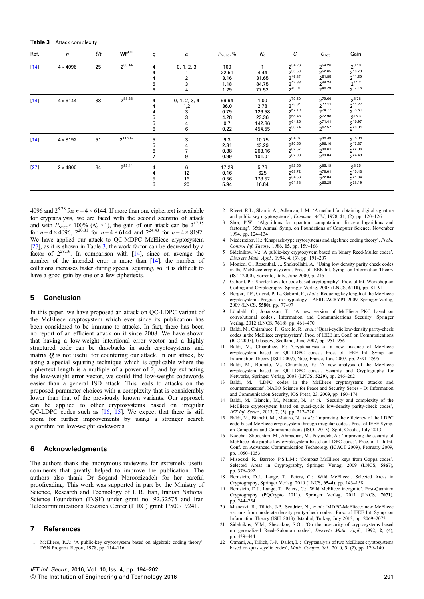<span id="page-7-0"></span>Table 3 Attack complexity

| Ref.   | $\mathsf{n}$    | t/t | $WF^{OC}$    | q              | $\alpha$      | $P_{Succ}$ , % | $N_{\rm c}$ | С           | $C_{\rm Tot}$ | Gain        |  |
|--------|-----------------|-----|--------------|----------------|---------------|----------------|-------------|-------------|---------------|-------------|--|
| $[14]$ | $4 \times 4096$ | 25  | 263.44       | 4              | 0, 1, 2, 3    | 100            |             | 254.26      | 254.26        | $2^{9.18}$  |  |
|        |                 |     |              |                |               | 22.51          | 4.44        | 250.50      | 252.65        | 210.79      |  |
|        |                 |     |              |                | 2             | 3.16           | 31.65       | 246.87      | $2^{51.85}$   | $2^{11.59}$ |  |
|        |                 |     |              | 5              | 3             | 1.18           | 84.75       | $2^{42.83}$ | 249.24        | $2^{14.2}$  |  |
|        |                 |     |              | 6              | 4             | 1.29           | 77.52       | 240.01      | $2^{46.29}$   | $2^{17.15}$ |  |
| $[14]$ | $4 \times 6144$ | 38  | 288.38       | 4              | 0, 1, 2, 3, 4 | 99.94          | 1.00        | 279.60      | 279.60        | $2^{8.78}$  |  |
|        |                 |     |              |                | 1,2           | 36.0           | 2.78        | 275.64      | $2^{77.11}$   | $2^{11.27}$ |  |
|        |                 |     |              |                | 3             | 0.79           | 126.58      | 267.79      | 274.77        | 213.61      |  |
|        |                 |     |              |                |               | 4.28           | 23.36       | 268.43      | 272.98        | $2^{15.3}$  |  |
|        |                 |     |              | 5              | 4             | 0.7            | 142.86      | $2^{64.26}$ | $2^{71.41}$   | 216.97      |  |
|        |                 |     |              | 6              | 6             | 0.22           | 454.55      | 258.74      | 267.57        | 20.81       |  |
| $[14]$ | $4 \times 8192$ | 51  | $2^{113.47}$ | 5              | 3             | 9.3            | 10.75       | 294.97      | 298.39        | $2^{15.08}$ |  |
|        |                 |     |              | 5              |               | 2.31           | 43.29       | 290.66      | 296.10        | 217.37      |  |
|        |                 |     |              | 6              |               | 0.38           | 263.16      | $2^{82.57}$ | 290.61        | 22.86       |  |
|        |                 |     |              | $\overline{7}$ | 9             | 0.99           | 101.01      | 282.38      | 289.04        | $2^{24.43}$ |  |
| $[27]$ | $2 \times 4800$ | 84  | 293.44       | 4              | 6             | 17.29          | 5.78        | 282.66      | 285.19        | $2^{8.25}$  |  |
|        |                 |     |              |                | 12            | 0.16           | 625         | 268.72      | 278.01        | $2^{15.43}$ |  |
|        |                 |     |              | 5              | 16            | 0.56           | 178.57      | 264.56      | $2^{72.04}$   | 221.04      |  |
|        |                 |     |              | 6              | 20            | 5.94           | 16.84       | $2^{61.18}$ | $2^{65.25}$   | 228.19      |  |

4096 and  $2^{8.78}$  for  $n = 4 \times 6144$ . If more than one ciphertext is available for cryptanalysis, we are faced with the second scenario of attack and with  $P_{Succ}$  < 100% ( $N_c$  > 1), the gain of our attack can be  $2^{17.15}$ for  $n = 4 \times 4096$ ,  $2^{20.81}$  for  $n = 4 \times 6144$  and  $2^{24.43}$  for  $n = 4 \times 8192$ . We have applied our attack to QC-MDPC McEliece cryptosystem [\[27\]](#page-8-0), as it is shown in Table 3, the work factor can be decreased by a factor of  $2^{28.19}$ . In comparison with [14], since on average the number of the intended error is more than [14], the number of collisions increases faster during special squaring, so, it is difficult to have a good gain by one or a few ciphertexts.

## 5 Conclusion

In this paper, we have proposed an attack on QC-LDPC variant of the McEliece cryptosystem which ever since its publication has been considered to be immune to attacks. In fact, there has been no report of an efficient attack on it since 2008. We have shown that having a low-weight intentional error vector and a highly structured code can be drawbacks in such cryptosystems and matrix  $\boldsymbol{0}$  is not useful for countering our attack. In our attack, by using a special squaring technique which is applicable where the ciphertext length is a multiple of a power of 2, and by extracting the low-weight error vector, we could find low-weight codewords easier than a general ISD attack. This leads to attacks on the proposed parameter choices with a complexity that is considerably lower than that of the previously known variants. Our approach can be applied to other cryptosystems based on irregular QC-LDPC codes such as [16, 15]. We expect that there is still room for further improvements by using a stronger search algorithm for low-weight codewords.

## 6 Acknowledgments

The authors thank the anonymous reviewers for extremely useful comments that greatly helped to improve the publication. The authors also thank Dr Sogand Noroozizadeh for her careful proofreading. This work was supported in part by the Ministry of Science, Research and Technology of I. R. Iran, Iranian National Science Foundation (INSF) under grant no. 92.32575 and Iran Telecommunications Research Center (ITRC) grant T/500/19241.

## 7 References

1 McEliece, R.J.: 'A public-key cryptosystem based on algebraic coding theory'. DSN Progress Report, 1978, pp. 114–116

- 2 Rivest, R.L., Shamir, A., Adleman, L.M.: 'A method for obtaining digital signature and public key cryptosystems', Commun. ACM, 1978, 21, (2), pp. 120-126
- 3 Shor, P.W.: 'Algorithms for quantum computation: discrete logarithms and factoring'. 35th Annual Symp. on Foundations of Computer Science, November 1994, pp. 124–134
- Niederreiter,  $H: K$ napsack-type crytosystems and algebraic coding theory', Probl. Control Inf. Theory, 1986, 15, pp. 159–166
- 5 Sidelnikov, V.: 'A public-key cryptosystem based on binary Reed-Muller codes', Discrete Math. Appl., 1994, 4, (3), pp. 191–207
- 6 Monico, C., Rosenthal, J., Shokrollahi, A.: 'Using low density parity check codes in the McEliece cryptosystem'. Proc. of IEEE Int. Symp. on Information Theory (ISIT 2000), Sorrento, Italy, June 2000, p. 215
- 7 Gaborit, P.: 'Shorter keys for code based cryptography'. Proc. of Int. Workshop on Coding and Cryptography, Springer Verlag, 2005 (LNCS, 6110), pp. 81–91
- Berger, T.P., Cayrel, P.-L., Gaborit, P., et al.: 'Reducing key length of the McEliece cryptosystem'. Progress in Cryptology – AFRICACRYPT 2009, Springer Verlag, 2009 (LNCS, 5580), pp. 77–97
- Löndahl, C., Johansson, T.: 'A new version of McEliece PKC based on convolutional codes'. Information and Communications Security, Springer Verlag, 2012 (LNCS, 7618), pp. 461–470
- 10 Baldi, M., Chiaraluce, F., Garello, R., et al.: 'Quasi-cyclic low-density parity-check codes in the McEliece cryptosystem'. Proc. of IEEE Int. Conf. on Communications (ICC 2007), Glasgow, Scotland, June 2007, pp. 951–956
- 11 Baldi, M., Chiaraluce, F.: 'Cryptanalysis of a new instance of McEliece cryptosystem based on QC-LDPC codes'. Proc. of IEEE Int. Symp. on Information Theory (ISIT 2007), Nice, France, June 2007, pp. 2591–2595
- 12 Baldi, M., Bodrato, M., Chiaraluce, F.: 'A new analysis of the McEliece cryptosystem based on QC-LDPC codes'. Security and Cryptography for Networks, Springer Verlag, 2008 (LNCS, 5229), pp. 246–262
- 13 Baldi, M.: 'LDPC codes in the McEliece cryptosystem: attacks and countermeasures'. NATO Science for Peace and Security Series - D: Information and Communication Security, IOS Press, 23, 2009, pp. 160–174
- 14 Baldi, M., Bianchi, M., Maturo, N., et al.: 'Security and complexity of the McEliece cryptosystem based on quasi-cyclic low-density parity-check codes', IET Inf. Secur., 2013, 7, (3), pp. 212–220
- 15 Baldi, M., Bianchi, M., Maturo, N., et al.: 'Improving the efficiency of the LDPC code-based McEliece cryptosystem through irregular codes'. Proc. of IEEE Symp. on Computers and Communications (ISCC 2013), Split, Croatia, July 2013
- 16 Koochak Shooshtari, M., Ahmadian, M., Payandeh, A.: 'Improving the security of McEliece-like public key cryptosystem based on LDPC codes'. Proc. of 11th Int. Conf. on Advanced Communication Technology (ICACT 2009), February 2009, pp. 1050–1053
- 17 Misoczki, R., Barreto, P.S.L.M.: 'Compact McEliece keys from Goppa codes'. Selected Areas in Cryptography, Springer Verlag, 2009 (LNCS, 5867), pp. 376–392
- 18 Bernstein, D.J., Lange, T., Peters, C.: 'Wild McEliece'. Selected Areas in Cryptography, Springer Verlag, 2010 (LNCS, 6544), pp. 143–158
- 19 Bernstein, D.J., Lange, T., Peters, C.: 'Wild McEliece incognito'. Post-Quantum Cryptography (PQCrypto 2011), Springer Verlag, 2011 (LNCS, 7071), pp. 244–254
- 20 Misoczki, R., Tillich, J-P., Sendrier, N., et al.: 'MDPC-McEliece: new McEliece variants from moderate density parity-check codes'. Proc. of IEEE Int. Symp. on Information Theory (ISIT 2013), Istanbul, Turkey, July 2013, pp. 2069–2073
- 21 Sidelnikov, V.M., Shestakov, S.O.: 'On the insecurity of cryptosystems based on generalized Reed–Solomon codes', Discrete Math. Appl., 1992, 2, (4), pp. 439–444
- 22 Otmani, A., Tillich, J.-P., Dallot, L.: 'Cryptanalysis of two McEliece cryptosystems based on quasi-cyclic codes', Math. Comput. Sci., 2010, 3, (2), pp. 129–140